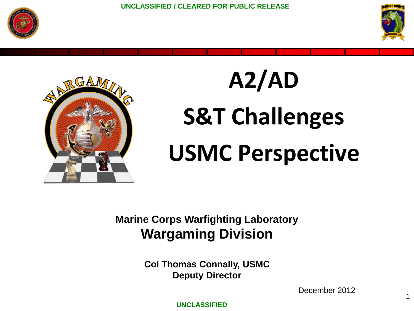



1



# **A2/AD S&T Challenges USMC Perspective**

**Marine Corps Warfighting Laboratory Wargaming Division**

> **Col Thomas Connally, USMC Deputy Director**

> > December 2012

**UNCLASSIFIED**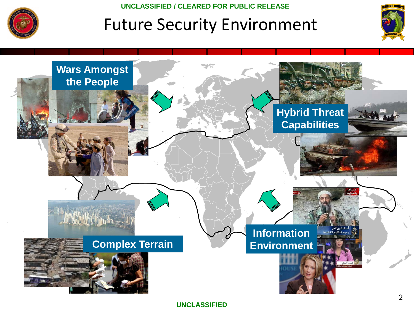

### Future Security Environment



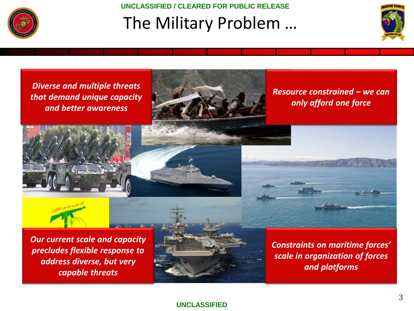

### **UNCLASSIFIED / CLEARED FOR PUBLIC RELEASE** The Military Problem …





#### **UNCLASSIFIED**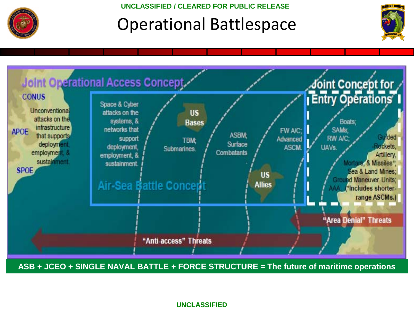

### Operational Battlespace





**ASB + JCEO + SINGLE NAVAL BATTLE + FORCE STRUCTURE = The future of maritime operations** 

**UNCLASSIFIED**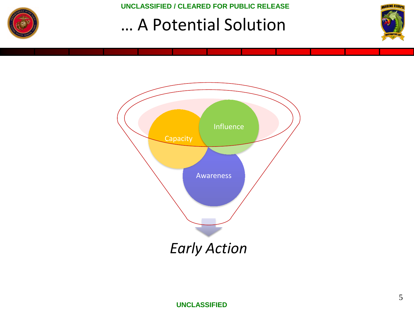

### … A Potential Solution